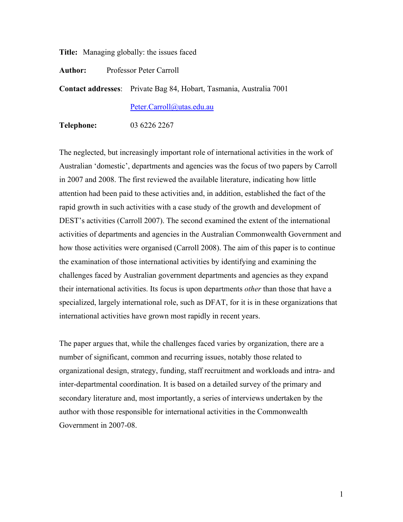**Title:** Managing globally: the issues faced

**Author:** Professor Peter Carroll

**Contact addresses**: Private Bag 84, Hobart, Tasmania, Australia 7001

Peter.Carroll@utas.edu.au

**Telephone:** 03 6226 2267

The neglected, but increasingly important role of international activities in the work of Australian 'domestic', departments and agencies was the focus of two papers by Carroll in 2007 and 2008. The first reviewed the available literature, indicating how little attention had been paid to these activities and, in addition, established the fact of the rapid growth in such activities with a case study of the growth and development of DEST's activities (Carroll 2007). The second examined the extent of the international activities of departments and agencies in the Australian Commonwealth Government and how those activities were organised (Carroll 2008). The aim of this paper is to continue the examination of those international activities by identifying and examining the challenges faced by Australian government departments and agencies as they expand their international activities. Its focus is upon departments *other* than those that have a specialized, largely international role, such as DFAT, for it is in these organizations that international activities have grown most rapidly in recent years.

The paper argues that, while the challenges faced varies by organization, there are a number of significant, common and recurring issues, notably those related to organizational design, strategy, funding, staff recruitment and workloads and intra- and inter-departmental coordination. It is based on a detailed survey of the primary and secondary literature and, most importantly, a series of interviews undertaken by the author with those responsible for international activities in the Commonwealth Government in 2007-08.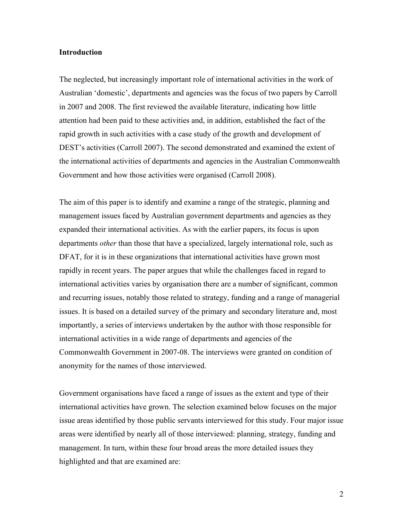## **Introduction**

The neglected, but increasingly important role of international activities in the work of Australian 'domestic', departments and agencies was the focus of two papers by Carroll in 2007 and 2008. The first reviewed the available literature, indicating how little attention had been paid to these activities and, in addition, established the fact of the rapid growth in such activities with a case study of the growth and development of DEST's activities (Carroll 2007). The second demonstrated and examined the extent of the international activities of departments and agencies in the Australian Commonwealth Government and how those activities were organised (Carroll 2008).

The aim of this paper is to identify and examine a range of the strategic, planning and management issues faced by Australian government departments and agencies as they expanded their international activities. As with the earlier papers, its focus is upon departments *other* than those that have a specialized, largely international role, such as DFAT, for it is in these organizations that international activities have grown most rapidly in recent years. The paper argues that while the challenges faced in regard to international activities varies by organisation there are a number of significant, common and recurring issues, notably those related to strategy, funding and a range of managerial issues. It is based on a detailed survey of the primary and secondary literature and, most importantly, a series of interviews undertaken by the author with those responsible for international activities in a wide range of departments and agencies of the Commonwealth Government in 2007-08. The interviews were granted on condition of anonymity for the names of those interviewed.

Government organisations have faced a range of issues as the extent and type of their international activities have grown. The selection examined below focuses on the major issue areas identified by those public servants interviewed for this study. Four major issue areas were identified by nearly all of those interviewed: planning, strategy, funding and management. In turn, within these four broad areas the more detailed issues they highlighted and that are examined are: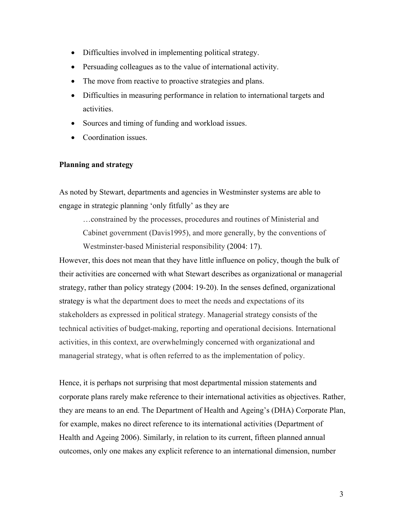- Difficulties involved in implementing political strategy.
- Persuading colleagues as to the value of international activity.
- The move from reactive to proactive strategies and plans.
- Difficulties in measuring performance in relation to international targets and activities.
- Sources and timing of funding and workload issues.
- Coordination issues.

# **Planning and strategy**

As noted by Stewart, departments and agencies in Westminster systems are able to engage in strategic planning 'only fitfully' as they are

…constrained by the processes, procedures and routines of Ministerial and Cabinet government (Davis1995), and more generally, by the conventions of Westminster-based Ministerial responsibility (2004: 17).

However, this does not mean that they have little influence on policy, though the bulk of their activities are concerned with what Stewart describes as organizational or managerial strategy, rather than policy strategy (2004: 19-20). In the senses defined, organizational strategy is what the department does to meet the needs and expectations of its stakeholders as expressed in political strategy. Managerial strategy consists of the technical activities of budget-making, reporting and operational decisions. International activities, in this context, are overwhelmingly concerned with organizational and managerial strategy, what is often referred to as the implementation of policy.

Hence, it is perhaps not surprising that most departmental mission statements and corporate plans rarely make reference to their international activities as objectives. Rather, they are means to an end. The Department of Health and Ageing's (DHA) Corporate Plan, for example, makes no direct reference to its international activities (Department of Health and Ageing 2006). Similarly, in relation to its current, fifteen planned annual outcomes, only one makes any explicit reference to an international dimension, number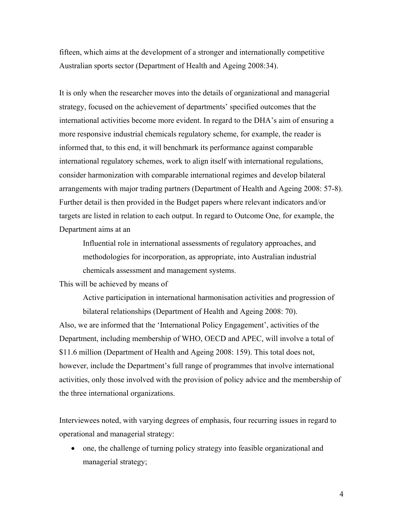fifteen, which aims at the development of a stronger and internationally competitive Australian sports sector (Department of Health and Ageing 2008:34).

It is only when the researcher moves into the details of organizational and managerial strategy, focused on the achievement of departments' specified outcomes that the international activities become more evident. In regard to the DHA's aim of ensuring a more responsive industrial chemicals regulatory scheme, for example, the reader is informed that, to this end, it will benchmark its performance against comparable international regulatory schemes, work to align itself with international regulations, consider harmonization with comparable international regimes and develop bilateral arrangements with major trading partners (Department of Health and Ageing 2008: 57-8). Further detail is then provided in the Budget papers where relevant indicators and/or targets are listed in relation to each output. In regard to Outcome One, for example, the Department aims at an

Influential role in international assessments of regulatory approaches, and methodologies for incorporation, as appropriate, into Australian industrial chemicals assessment and management systems.

This will be achieved by means of

Active participation in international harmonisation activities and progression of bilateral relationships (Department of Health and Ageing 2008: 70). Also, we are informed that the 'International Policy Engagement', activities of the Department, including membership of WHO, OECD and APEC, will involve a total of \$11.6 million (Department of Health and Ageing 2008: 159). This total does not, however, include the Department's full range of programmes that involve international activities, only those involved with the provision of policy advice and the membership of the three international organizations.

Interviewees noted, with varying degrees of emphasis, four recurring issues in regard to operational and managerial strategy:

• one, the challenge of turning policy strategy into feasible organizational and managerial strategy;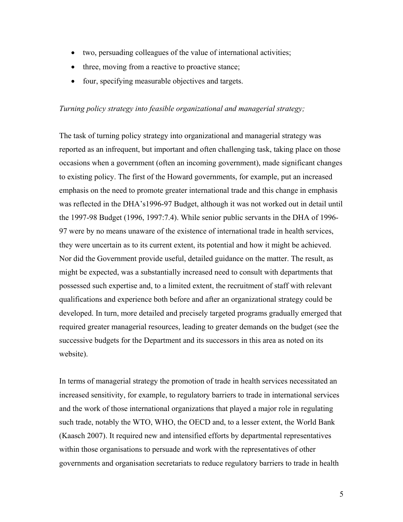- two, persuading colleagues of the value of international activities;
- three, moving from a reactive to proactive stance;
- four, specifying measurable objectives and targets.

## *Turning policy strategy into feasible organizational and managerial strategy;*

The task of turning policy strategy into organizational and managerial strategy was reported as an infrequent, but important and often challenging task, taking place on those occasions when a government (often an incoming government), made significant changes to existing policy. The first of the Howard governments, for example, put an increased emphasis on the need to promote greater international trade and this change in emphasis was reflected in the DHA's1996-97 Budget, although it was not worked out in detail until the 1997-98 Budget (1996, 1997:7.4). While senior public servants in the DHA of 1996- 97 were by no means unaware of the existence of international trade in health services, they were uncertain as to its current extent, its potential and how it might be achieved. Nor did the Government provide useful, detailed guidance on the matter. The result, as might be expected, was a substantially increased need to consult with departments that possessed such expertise and, to a limited extent, the recruitment of staff with relevant qualifications and experience both before and after an organizational strategy could be developed. In turn, more detailed and precisely targeted programs gradually emerged that required greater managerial resources, leading to greater demands on the budget (see the successive budgets for the Department and its successors in this area as noted on its website).

In terms of managerial strategy the promotion of trade in health services necessitated an increased sensitivity, for example, to regulatory barriers to trade in international services and the work of those international organizations that played a major role in regulating such trade, notably the WTO, WHO, the OECD and, to a lesser extent, the World Bank (Kaasch 2007). It required new and intensified efforts by departmental representatives within those organisations to persuade and work with the representatives of other governments and organisation secretariats to reduce regulatory barriers to trade in health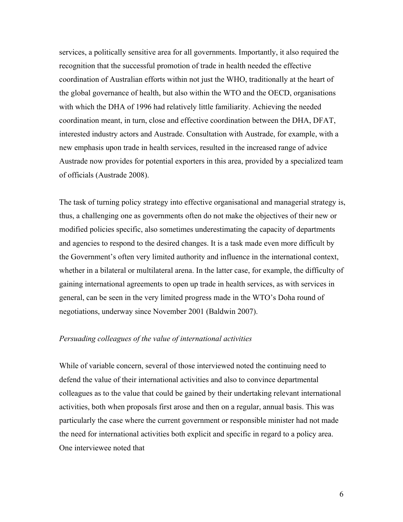services, a politically sensitive area for all governments. Importantly, it also required the recognition that the successful promotion of trade in health needed the effective coordination of Australian efforts within not just the WHO, traditionally at the heart of the global governance of health, but also within the WTO and the OECD, organisations with which the DHA of 1996 had relatively little familiarity. Achieving the needed coordination meant, in turn, close and effective coordination between the DHA, DFAT, interested industry actors and Austrade. Consultation with Austrade, for example, with a new emphasis upon trade in health services, resulted in the increased range of advice Austrade now provides for potential exporters in this area, provided by a specialized team of officials (Austrade 2008).

The task of turning policy strategy into effective organisational and managerial strategy is, thus, a challenging one as governments often do not make the objectives of their new or modified policies specific, also sometimes underestimating the capacity of departments and agencies to respond to the desired changes. It is a task made even more difficult by the Government's often very limited authority and influence in the international context, whether in a bilateral or multilateral arena. In the latter case, for example, the difficulty of gaining international agreements to open up trade in health services, as with services in general, can be seen in the very limited progress made in the WTO's Doha round of negotiations, underway since November 2001 (Baldwin 2007).

## *Persuading colleagues of the value of international activities*

While of variable concern, several of those interviewed noted the continuing need to defend the value of their international activities and also to convince departmental colleagues as to the value that could be gained by their undertaking relevant international activities, both when proposals first arose and then on a regular, annual basis. This was particularly the case where the current government or responsible minister had not made the need for international activities both explicit and specific in regard to a policy area. One interviewee noted that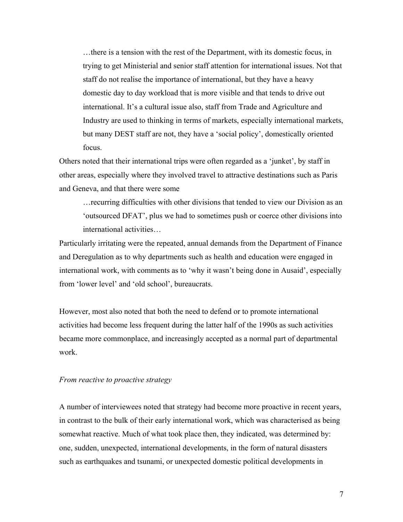…there is a tension with the rest of the Department, with its domestic focus, in trying to get Ministerial and senior staff attention for international issues. Not that staff do not realise the importance of international, but they have a heavy domestic day to day workload that is more visible and that tends to drive out international. It's a cultural issue also, staff from Trade and Agriculture and Industry are used to thinking in terms of markets, especially international markets, but many DEST staff are not, they have a 'social policy', domestically oriented focus.

Others noted that their international trips were often regarded as a 'junket', by staff in other areas, especially where they involved travel to attractive destinations such as Paris and Geneva, and that there were some

…recurring difficulties with other divisions that tended to view our Division as an 'outsourced DFAT', plus we had to sometimes push or coerce other divisions into international activities…

Particularly irritating were the repeated, annual demands from the Department of Finance and Deregulation as to why departments such as health and education were engaged in international work, with comments as to 'why it wasn't being done in Ausaid', especially from 'lower level' and 'old school', bureaucrats.

However, most also noted that both the need to defend or to promote international activities had become less frequent during the latter half of the 1990s as such activities became more commonplace, and increasingly accepted as a normal part of departmental work.

#### *From reactive to proactive strategy*

A number of interviewees noted that strategy had become more proactive in recent years, in contrast to the bulk of their early international work, which was characterised as being somewhat reactive. Much of what took place then, they indicated, was determined by: one, sudden, unexpected, international developments, in the form of natural disasters such as earthquakes and tsunami, or unexpected domestic political developments in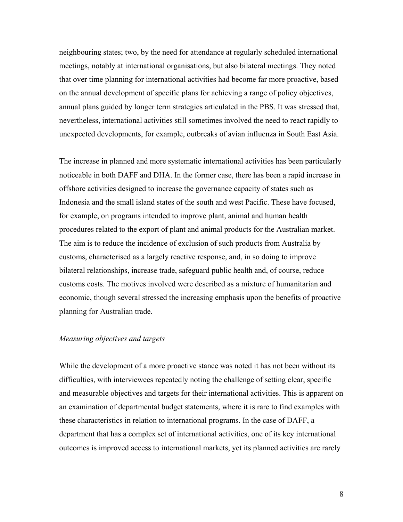neighbouring states; two, by the need for attendance at regularly scheduled international meetings, notably at international organisations, but also bilateral meetings. They noted that over time planning for international activities had become far more proactive, based on the annual development of specific plans for achieving a range of policy objectives, annual plans guided by longer term strategies articulated in the PBS. It was stressed that, nevertheless, international activities still sometimes involved the need to react rapidly to unexpected developments, for example, outbreaks of avian influenza in South East Asia.

The increase in planned and more systematic international activities has been particularly noticeable in both DAFF and DHA. In the former case, there has been a rapid increase in offshore activities designed to increase the governance capacity of states such as Indonesia and the small island states of the south and west Pacific. These have focused, for example, on programs intended to improve plant, animal and human health procedures related to the export of plant and animal products for the Australian market. The aim is to reduce the incidence of exclusion of such products from Australia by customs, characterised as a largely reactive response, and, in so doing to improve bilateral relationships, increase trade, safeguard public health and, of course, reduce customs costs. The motives involved were described as a mixture of humanitarian and economic, though several stressed the increasing emphasis upon the benefits of proactive planning for Australian trade.

## *Measuring objectives and targets*

While the development of a more proactive stance was noted it has not been without its difficulties, with interviewees repeatedly noting the challenge of setting clear, specific and measurable objectives and targets for their international activities. This is apparent on an examination of departmental budget statements, where it is rare to find examples with these characteristics in relation to international programs. In the case of DAFF, a department that has a complex set of international activities, one of its key international outcomes is improved access to international markets, yet its planned activities are rarely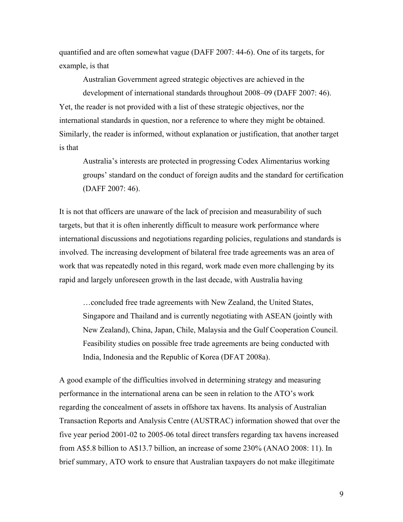quantified and are often somewhat vague (DAFF 2007: 44-6). One of its targets, for example, is that

Australian Government agreed strategic objectives are achieved in the development of international standards throughout 2008–09 (DAFF 2007: 46). Yet, the reader is not provided with a list of these strategic objectives, nor the international standards in question, nor a reference to where they might be obtained. Similarly, the reader is informed, without explanation or justification, that another target is that

Australia's interests are protected in progressing Codex Alimentarius working groups' standard on the conduct of foreign audits and the standard for certification (DAFF 2007: 46).

It is not that officers are unaware of the lack of precision and measurability of such targets, but that it is often inherently difficult to measure work performance where international discussions and negotiations regarding policies, regulations and standards is involved. The increasing development of bilateral free trade agreements was an area of work that was repeatedly noted in this regard, work made even more challenging by its rapid and largely unforeseen growth in the last decade, with Australia having

…concluded free trade agreements with New Zealand, the United States, Singapore and Thailand and is currently negotiating with ASEAN (jointly with New Zealand), China, Japan, Chile, Malaysia and the Gulf Cooperation Council. Feasibility studies on possible free trade agreements are being conducted with India, Indonesia and the Republic of Korea (DFAT 2008a).

A good example of the difficulties involved in determining strategy and measuring performance in the international arena can be seen in relation to the ATO's work regarding the concealment of assets in offshore tax havens. Its analysis of Australian Transaction Reports and Analysis Centre (AUSTRAC) information showed that over the five year period 2001-02 to 2005-06 total direct transfers regarding tax havens increased from A\$5.8 billion to A\$13.7 billion, an increase of some 230% (ANAO 2008: 11). In brief summary, ATO work to ensure that Australian taxpayers do not make illegitimate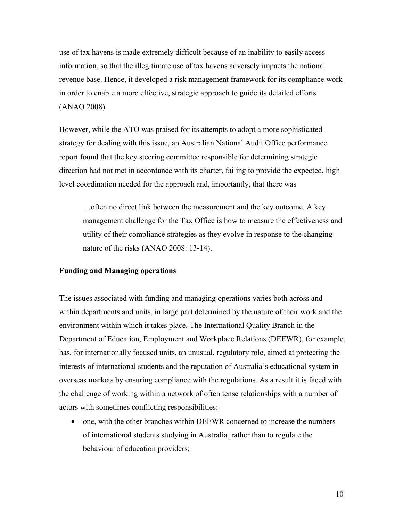use of tax havens is made extremely difficult because of an inability to easily access information, so that the illegitimate use of tax havens adversely impacts the national revenue base. Hence, it developed a risk management framework for its compliance work in order to enable a more effective, strategic approach to guide its detailed efforts (ANAO 2008).

However, while the ATO was praised for its attempts to adopt a more sophisticated strategy for dealing with this issue, an Australian National Audit Office performance report found that the key steering committee responsible for determining strategic direction had not met in accordance with its charter, failing to provide the expected, high level coordination needed for the approach and, importantly, that there was

…often no direct link between the measurement and the key outcome. A key management challenge for the Tax Office is how to measure the effectiveness and utility of their compliance strategies as they evolve in response to the changing nature of the risks (ANAO 2008: 13-14).

## **Funding and Managing operations**

The issues associated with funding and managing operations varies both across and within departments and units, in large part determined by the nature of their work and the environment within which it takes place. The International Quality Branch in the Department of Education, Employment and Workplace Relations (DEEWR), for example, has, for internationally focused units, an unusual, regulatory role, aimed at protecting the interests of international students and the reputation of Australia's educational system in overseas markets by ensuring compliance with the regulations. As a result it is faced with the challenge of working within a network of often tense relationships with a number of actors with sometimes conflicting responsibilities:

• one, with the other branches within DEEWR concerned to increase the numbers of international students studying in Australia, rather than to regulate the behaviour of education providers;

10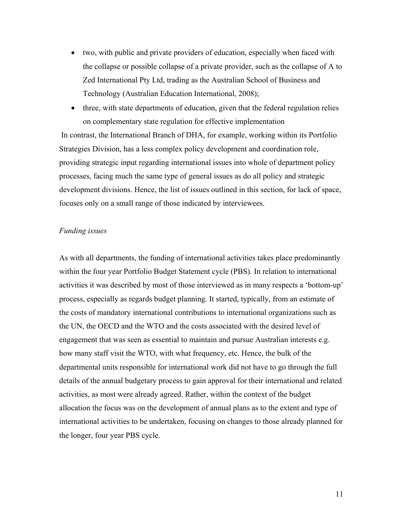- two, with public and private providers of education, especially when faced with the collapse or possible collapse of a private provider, such as the collapse of A to Zed International Pty Ltd, trading as the Australian School of Business and Technology (Australian Education International, 2008);
- three, with state departments of education, given that the federal regulation relies on complementary state regulation for effective implementation

 In contrast, the International Branch of DHA, for example, working within its Portfolio Strategies Division, has a less complex policy development and coordination role, providing strategic input regarding international issues into whole of department policy processes, facing much the same type of general issues as do all policy and strategic development divisions. Hence, the list of issues outlined in this section, for lack of space, focuses only on a small range of those indicated by interviewees.

### *Funding issues*

As with all departments, the funding of international activities takes place predominantly within the four year Portfolio Budget Statement cycle (PBS). In relation to international activities it was described by most of those interviewed as in many respects a 'bottom-up' process, especially as regards budget planning. It started, typically, from an estimate of the costs of mandatory international contributions to international organizations such as the UN, the OECD and the WTO and the costs associated with the desired level of engagement that was seen as essential to maintain and pursue Australian interests e.g. how many staff visit the WTO, with what frequency, etc. Hence, the bulk of the departmental units responsible for international work did not have to go through the full details of the annual budgetary process to gain approval for their international and related activities, as most were already agreed. Rather, within the context of the budget allocation the focus was on the development of annual plans as to the extent and type of international activities to be undertaken, focusing on changes to those already planned for the longer, four year PBS cycle.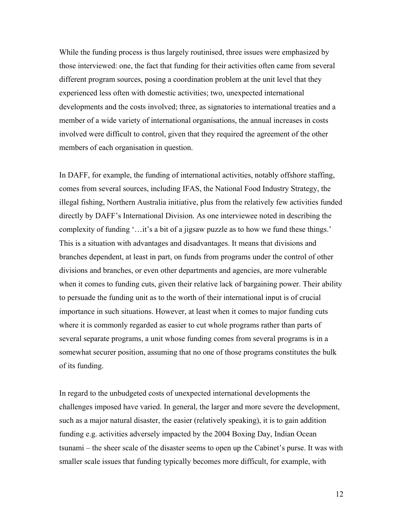While the funding process is thus largely routinised, three issues were emphasized by those interviewed: one, the fact that funding for their activities often came from several different program sources, posing a coordination problem at the unit level that they experienced less often with domestic activities; two, unexpected international developments and the costs involved; three, as signatories to international treaties and a member of a wide variety of international organisations, the annual increases in costs involved were difficult to control, given that they required the agreement of the other members of each organisation in question.

In DAFF, for example, the funding of international activities, notably offshore staffing, comes from several sources, including IFAS, the National Food Industry Strategy, the illegal fishing, Northern Australia initiative, plus from the relatively few activities funded directly by DAFF's International Division. As one interviewee noted in describing the complexity of funding '…it's a bit of a jigsaw puzzle as to how we fund these things.' This is a situation with advantages and disadvantages. It means that divisions and branches dependent, at least in part, on funds from programs under the control of other divisions and branches, or even other departments and agencies, are more vulnerable when it comes to funding cuts, given their relative lack of bargaining power. Their ability to persuade the funding unit as to the worth of their international input is of crucial importance in such situations. However, at least when it comes to major funding cuts where it is commonly regarded as easier to cut whole programs rather than parts of several separate programs, a unit whose funding comes from several programs is in a somewhat securer position, assuming that no one of those programs constitutes the bulk of its funding.

In regard to the unbudgeted costs of unexpected international developments the challenges imposed have varied. In general, the larger and more severe the development, such as a major natural disaster, the easier (relatively speaking), it is to gain addition funding e.g. activities adversely impacted by the 2004 Boxing Day, Indian Ocean tsunami – the sheer scale of the disaster seems to open up the Cabinet's purse. It was with smaller scale issues that funding typically becomes more difficult, for example, with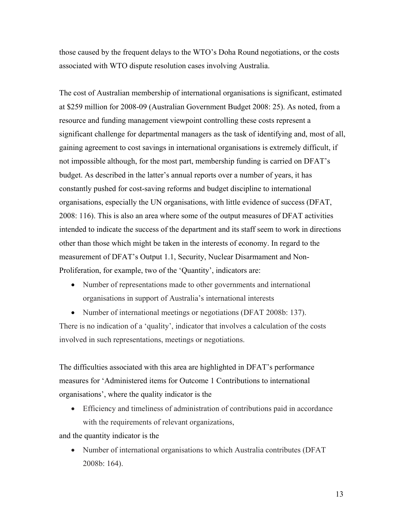those caused by the frequent delays to the WTO's Doha Round negotiations, or the costs associated with WTO dispute resolution cases involving Australia.

The cost of Australian membership of international organisations is significant, estimated at \$259 million for 2008-09 (Australian Government Budget 2008: 25). As noted, from a resource and funding management viewpoint controlling these costs represent a significant challenge for departmental managers as the task of identifying and, most of all, gaining agreement to cost savings in international organisations is extremely difficult, if not impossible although, for the most part, membership funding is carried on DFAT's budget. As described in the latter's annual reports over a number of years, it has constantly pushed for cost-saving reforms and budget discipline to international organisations, especially the UN organisations, with little evidence of success (DFAT, 2008: 116). This is also an area where some of the output measures of DFAT activities intended to indicate the success of the department and its staff seem to work in directions other than those which might be taken in the interests of economy. In regard to the measurement of DFAT's Output 1.1, Security, Nuclear Disarmament and Non-Proliferation, for example, two of the 'Quantity', indicators are:

- Number of representations made to other governments and international organisations in support of Australia's international interests
- Number of international meetings or negotiations (DFAT 2008b: 137).

There is no indication of a 'quality', indicator that involves a calculation of the costs involved in such representations, meetings or negotiations.

The difficulties associated with this area are highlighted in DFAT's performance measures for 'Administered items for Outcome 1 Contributions to international organisations', where the quality indicator is the

• Efficiency and timeliness of administration of contributions paid in accordance with the requirements of relevant organizations,

and the quantity indicator is the

• Number of international organisations to which Australia contributes (DFAT) 2008b: 164).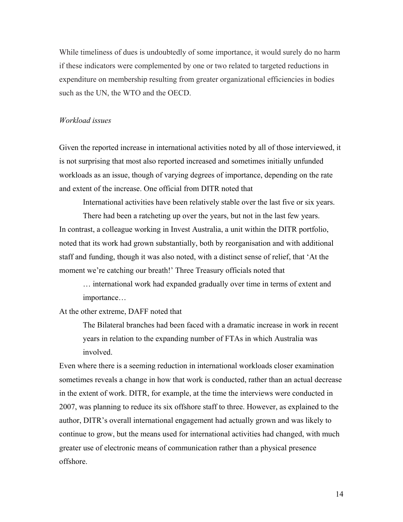While timeliness of dues is undoubtedly of some importance, it would surely do no harm if these indicators were complemented by one or two related to targeted reductions in expenditure on membership resulting from greater organizational efficiencies in bodies such as the UN, the WTO and the OECD.

#### *Workload issues*

Given the reported increase in international activities noted by all of those interviewed, it is not surprising that most also reported increased and sometimes initially unfunded workloads as an issue, though of varying degrees of importance, depending on the rate and extent of the increase. One official from DITR noted that

International activities have been relatively stable over the last five or six years.

There had been a ratcheting up over the years, but not in the last few years. In contrast, a colleague working in Invest Australia, a unit within the DITR portfolio, noted that its work had grown substantially, both by reorganisation and with additional staff and funding, though it was also noted, with a distinct sense of relief, that 'At the moment we're catching our breath!' Three Treasury officials noted that

… international work had expanded gradually over time in terms of extent and importance…

At the other extreme, DAFF noted that

The Bilateral branches had been faced with a dramatic increase in work in recent years in relation to the expanding number of FTAs in which Australia was involved.

Even where there is a seeming reduction in international workloads closer examination sometimes reveals a change in how that work is conducted, rather than an actual decrease in the extent of work. DITR, for example, at the time the interviews were conducted in 2007, was planning to reduce its six offshore staff to three. However, as explained to the author, DITR's overall international engagement had actually grown and was likely to continue to grow, but the means used for international activities had changed, with much greater use of electronic means of communication rather than a physical presence offshore.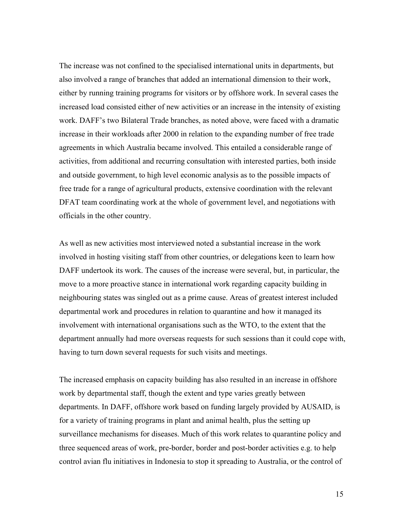The increase was not confined to the specialised international units in departments, but also involved a range of branches that added an international dimension to their work, either by running training programs for visitors or by offshore work. In several cases the increased load consisted either of new activities or an increase in the intensity of existing work. DAFF's two Bilateral Trade branches, as noted above, were faced with a dramatic increase in their workloads after 2000 in relation to the expanding number of free trade agreements in which Australia became involved. This entailed a considerable range of activities, from additional and recurring consultation with interested parties, both inside and outside government, to high level economic analysis as to the possible impacts of free trade for a range of agricultural products, extensive coordination with the relevant DFAT team coordinating work at the whole of government level, and negotiations with officials in the other country.

As well as new activities most interviewed noted a substantial increase in the work involved in hosting visiting staff from other countries, or delegations keen to learn how DAFF undertook its work. The causes of the increase were several, but, in particular, the move to a more proactive stance in international work regarding capacity building in neighbouring states was singled out as a prime cause. Areas of greatest interest included departmental work and procedures in relation to quarantine and how it managed its involvement with international organisations such as the WTO, to the extent that the department annually had more overseas requests for such sessions than it could cope with, having to turn down several requests for such visits and meetings.

The increased emphasis on capacity building has also resulted in an increase in offshore work by departmental staff, though the extent and type varies greatly between departments. In DAFF, offshore work based on funding largely provided by AUSAID, is for a variety of training programs in plant and animal health, plus the setting up surveillance mechanisms for diseases. Much of this work relates to quarantine policy and three sequenced areas of work, pre-border, border and post-border activities e.g. to help control avian flu initiatives in Indonesia to stop it spreading to Australia, or the control of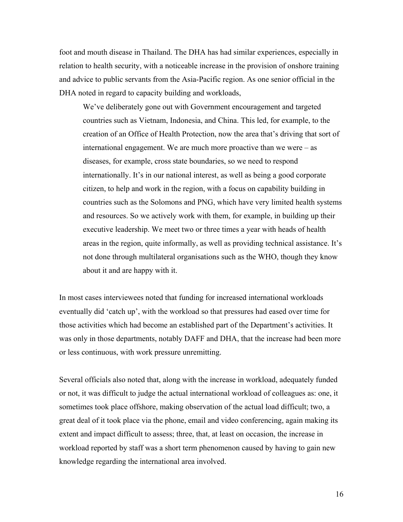foot and mouth disease in Thailand. The DHA has had similar experiences, especially in relation to health security, with a noticeable increase in the provision of onshore training and advice to public servants from the Asia-Pacific region. As one senior official in the DHA noted in regard to capacity building and workloads,

We've deliberately gone out with Government encouragement and targeted countries such as Vietnam, Indonesia, and China. This led, for example, to the creation of an Office of Health Protection, now the area that's driving that sort of international engagement. We are much more proactive than we were – as diseases, for example, cross state boundaries, so we need to respond internationally. It's in our national interest, as well as being a good corporate citizen, to help and work in the region, with a focus on capability building in countries such as the Solomons and PNG, which have very limited health systems and resources. So we actively work with them, for example, in building up their executive leadership. We meet two or three times a year with heads of health areas in the region, quite informally, as well as providing technical assistance. It's not done through multilateral organisations such as the WHO, though they know about it and are happy with it.

In most cases interviewees noted that funding for increased international workloads eventually did 'catch up', with the workload so that pressures had eased over time for those activities which had become an established part of the Department's activities. It was only in those departments, notably DAFF and DHA, that the increase had been more or less continuous, with work pressure unremitting.

Several officials also noted that, along with the increase in workload, adequately funded or not, it was difficult to judge the actual international workload of colleagues as: one, it sometimes took place offshore, making observation of the actual load difficult; two, a great deal of it took place via the phone, email and video conferencing, again making its extent and impact difficult to assess; three, that, at least on occasion, the increase in workload reported by staff was a short term phenomenon caused by having to gain new knowledge regarding the international area involved.

16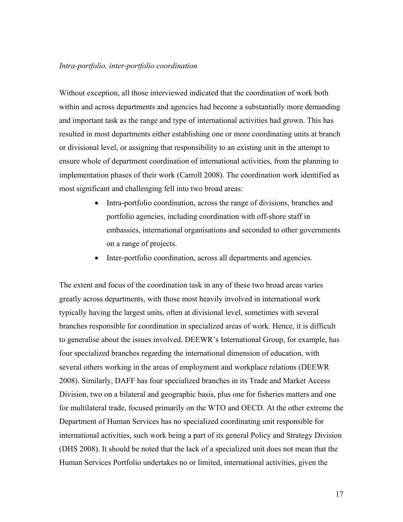#### *Intra-portfolio, inter-portfolio coordination*

Without exception, all those interviewed indicated that the coordination of work both within and across departments and agencies had become a substantially more demanding and important task as the range and type of international activities had grown. This has resulted in most departments either establishing one or more coordinating units at branch or divisional level, or assigning that responsibility to an existing unit in the attempt to ensure whole of department coordination of international activities, from the planning to implementation phases of their work (Carroll 2008). The coordination work identified as most significant and challenging fell into two broad areas:

- Intra-portfolio coordination, across the range of divisions, branches and portfolio agencies, including coordination with off-shore staff in embassies, international organisations and seconded to other governments on a range of projects.
- Inter-portfolio coordination, across all departments and agencies.

The extent and focus of the coordination task in any of these two broad areas varies greatly across departments, with those most heavily involved in international work typically having the largest units, often at divisional level, sometimes with several branches responsible for coordination in specialized areas of work. Hence, it is difficult to generalise about the issues involved. DEEWR's International Group, for example, has four specialized branches regarding the international dimension of education, with several others working in the areas of employment and workplace relations (DEEWR 2008). Similarly, DAFF has four specialized branches in its Trade and Market Access Division, two on a bilateral and geographic basis, plus one for fisheries matters and one for multilateral trade, focused primarily on the WTO and OECD. At the other extreme the Department of Human Services has no specialized coordinating unit responsible for international activities, such work being a part of its general Policy and Strategy Division (DHS 2008). It should be noted that the lack of a specialized unit does not mean that the Human Services Portfolio undertakes no or limited, international activities, given the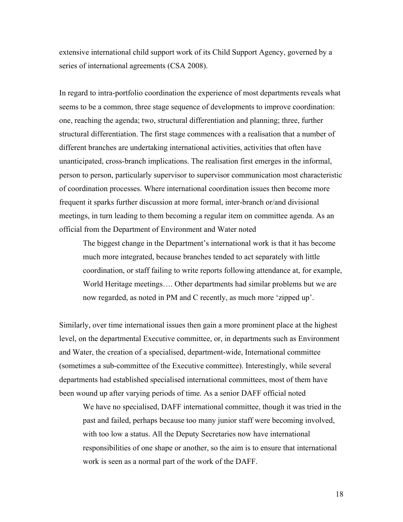extensive international child support work of its Child Support Agency, governed by a series of international agreements (CSA 2008).

In regard to intra-portfolio coordination the experience of most departments reveals what seems to be a common, three stage sequence of developments to improve coordination: one, reaching the agenda; two, structural differentiation and planning; three, further structural differentiation. The first stage commences with a realisation that a number of different branches are undertaking international activities, activities that often have unanticipated, cross-branch implications. The realisation first emerges in the informal, person to person, particularly supervisor to supervisor communication most characteristic of coordination processes. Where international coordination issues then become more frequent it sparks further discussion at more formal, inter-branch or/and divisional meetings, in turn leading to them becoming a regular item on committee agenda. As an official from the Department of Environment and Water noted

The biggest change in the Department's international work is that it has become much more integrated, because branches tended to act separately with little coordination, or staff failing to write reports following attendance at, for example, World Heritage meetings…. Other departments had similar problems but we are now regarded, as noted in PM and C recently, as much more 'zipped up'.

Similarly, over time international issues then gain a more prominent place at the highest level, on the departmental Executive committee, or, in departments such as Environment and Water, the creation of a specialised, department-wide, International committee (sometimes a sub-committee of the Executive committee). Interestingly, while several departments had established specialised international committees, most of them have been wound up after varying periods of time. As a senior DAFF official noted

We have no specialised, DAFF international committee, though it was tried in the past and failed, perhaps because too many junior staff were becoming involved, with too low a status. All the Deputy Secretaries now have international responsibilities of one shape or another, so the aim is to ensure that international work is seen as a normal part of the work of the DAFF.

18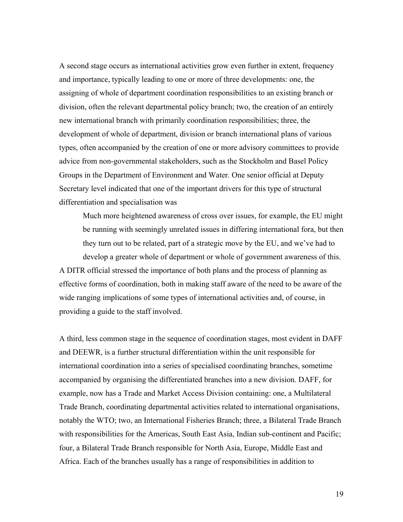A second stage occurs as international activities grow even further in extent, frequency and importance, typically leading to one or more of three developments: one, the assigning of whole of department coordination responsibilities to an existing branch or division, often the relevant departmental policy branch; two, the creation of an entirely new international branch with primarily coordination responsibilities; three, the development of whole of department, division or branch international plans of various types, often accompanied by the creation of one or more advisory committees to provide advice from non-governmental stakeholders, such as the Stockholm and Basel Policy Groups in the Department of Environment and Water. One senior official at Deputy Secretary level indicated that one of the important drivers for this type of structural differentiation and specialisation was

Much more heightened awareness of cross over issues, for example, the EU might be running with seemingly unrelated issues in differing international fora, but then they turn out to be related, part of a strategic move by the EU, and we've had to develop a greater whole of department or whole of government awareness of this. A DITR official stressed the importance of both plans and the process of planning as effective forms of coordination, both in making staff aware of the need to be aware of the wide ranging implications of some types of international activities and, of course, in providing a guide to the staff involved.

A third, less common stage in the sequence of coordination stages, most evident in DAFF and DEEWR, is a further structural differentiation within the unit responsible for international coordination into a series of specialised coordinating branches, sometime accompanied by organising the differentiated branches into a new division. DAFF, for example, now has a Trade and Market Access Division containing: one, a Multilateral Trade Branch, coordinating departmental activities related to international organisations, notably the WTO; two, an International Fisheries Branch; three, a Bilateral Trade Branch with responsibilities for the Americas, South East Asia, Indian sub-continent and Pacific; four, a Bilateral Trade Branch responsible for North Asia, Europe, Middle East and Africa. Each of the branches usually has a range of responsibilities in addition to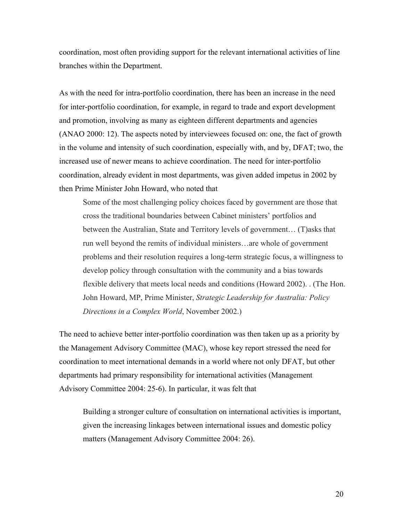coordination, most often providing support for the relevant international activities of line branches within the Department.

As with the need for intra-portfolio coordination, there has been an increase in the need for inter-portfolio coordination, for example, in regard to trade and export development and promotion, involving as many as eighteen different departments and agencies (ANAO 2000: 12). The aspects noted by interviewees focused on: one, the fact of growth in the volume and intensity of such coordination, especially with, and by, DFAT; two, the increased use of newer means to achieve coordination. The need for inter-portfolio coordination, already evident in most departments, was given added impetus in 2002 by then Prime Minister John Howard, who noted that

Some of the most challenging policy choices faced by government are those that cross the traditional boundaries between Cabinet ministers' portfolios and between the Australian, State and Territory levels of government… (T)asks that run well beyond the remits of individual ministers…are whole of government problems and their resolution requires a long-term strategic focus, a willingness to develop policy through consultation with the community and a bias towards flexible delivery that meets local needs and conditions (Howard 2002). . (The Hon. John Howard, MP, Prime Minister, *Strategic Leadership for Australia: Policy Directions in a Complex World*, November 2002.)

The need to achieve better inter-portfolio coordination was then taken up as a priority by the Management Advisory Committee (MAC), whose key report stressed the need for coordination to meet international demands in a world where not only DFAT, but other departments had primary responsibility for international activities (Management Advisory Committee 2004: 25-6). In particular, it was felt that

Building a stronger culture of consultation on international activities is important, given the increasing linkages between international issues and domestic policy matters (Management Advisory Committee 2004: 26).

20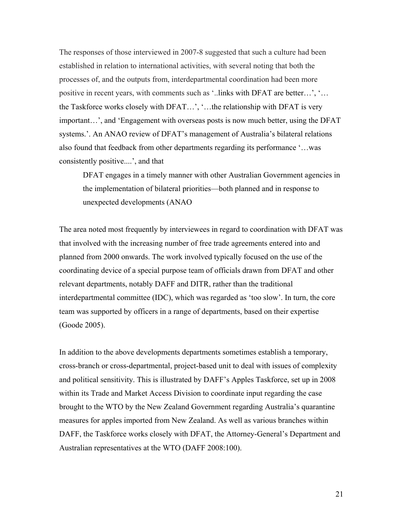The responses of those interviewed in 2007-8 suggested that such a culture had been established in relation to international activities, with several noting that both the processes of, and the outputs from, interdepartmental coordination had been more positive in recent years, with comments such as '..links with DFAT are better…', '… the Taskforce works closely with DFAT…', '…the relationship with DFAT is very important…', and 'Engagement with overseas posts is now much better, using the DFAT systems.'. An ANAO review of DFAT's management of Australia's bilateral relations also found that feedback from other departments regarding its performance '…was consistently positive....', and that

DFAT engages in a timely manner with other Australian Government agencies in the implementation of bilateral priorities—both planned and in response to unexpected developments (ANAO

The area noted most frequently by interviewees in regard to coordination with DFAT was that involved with the increasing number of free trade agreements entered into and planned from 2000 onwards. The work involved typically focused on the use of the coordinating device of a special purpose team of officials drawn from DFAT and other relevant departments, notably DAFF and DITR, rather than the traditional interdepartmental committee (IDC), which was regarded as 'too slow'. In turn, the core team was supported by officers in a range of departments, based on their expertise (Goode 2005).

In addition to the above developments departments sometimes establish a temporary, cross-branch or cross-departmental, project-based unit to deal with issues of complexity and political sensitivity. This is illustrated by DAFF's Apples Taskforce, set up in 2008 within its Trade and Market Access Division to coordinate input regarding the case brought to the WTO by the New Zealand Government regarding Australia's quarantine measures for apples imported from New Zealand. As well as various branches within DAFF, the Taskforce works closely with DFAT, the Attorney-General's Department and Australian representatives at the WTO (DAFF 2008:100).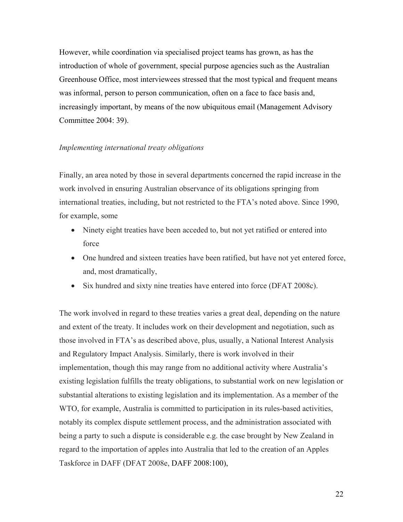However, while coordination via specialised project teams has grown, as has the introduction of whole of government, special purpose agencies such as the Australian Greenhouse Office, most interviewees stressed that the most typical and frequent means was informal, person to person communication, often on a face to face basis and, increasingly important, by means of the now ubiquitous email (Management Advisory Committee 2004: 39).

#### *Implementing international treaty obligations*

Finally, an area noted by those in several departments concerned the rapid increase in the work involved in ensuring Australian observance of its obligations springing from international treaties, including, but not restricted to the FTA's noted above. Since 1990, for example, some

- Ninety eight treaties have been acceded to, but not yet ratified or entered into force
- One hundred and sixteen treaties have been ratified, but have not yet entered force, and, most dramatically,
- Six hundred and sixty nine treaties have entered into force (DFAT 2008c).

The work involved in regard to these treaties varies a great deal, depending on the nature and extent of the treaty. It includes work on their development and negotiation, such as those involved in FTA's as described above, plus, usually, a National Interest Analysis and Regulatory Impact Analysis. Similarly, there is work involved in their implementation, though this may range from no additional activity where Australia's existing legislation fulfills the treaty obligations, to substantial work on new legislation or substantial alterations to existing legislation and its implementation. As a member of the WTO, for example, Australia is committed to participation in its rules-based activities, notably its complex dispute settlement process, and the administration associated with being a party to such a dispute is considerable e.g. the case brought by New Zealand in regard to the importation of apples into Australia that led to the creation of an Apples Taskforce in DAFF (DFAT 2008e, DAFF 2008:100),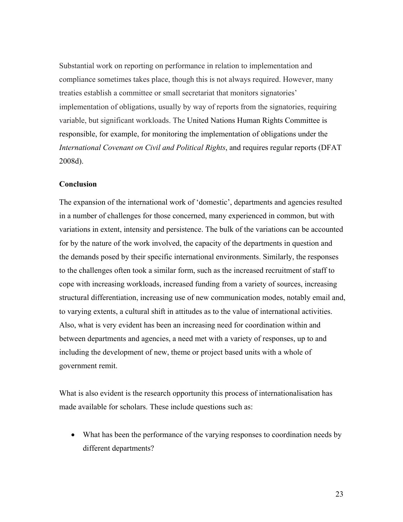Substantial work on reporting on performance in relation to implementation and compliance sometimes takes place, though this is not always required. However, many treaties establish a committee or small secretariat that monitors signatories' implementation of obligations, usually by way of reports from the signatories, requiring variable, but significant workloads. The United Nations Human Rights Committee is responsible, for example, for monitoring the implementation of obligations under the *International Covenant on Civil and Political Rights*, and requires regular reports (DFAT 2008d).

## **Conclusion**

The expansion of the international work of 'domestic', departments and agencies resulted in a number of challenges for those concerned, many experienced in common, but with variations in extent, intensity and persistence. The bulk of the variations can be accounted for by the nature of the work involved, the capacity of the departments in question and the demands posed by their specific international environments. Similarly, the responses to the challenges often took a similar form, such as the increased recruitment of staff to cope with increasing workloads, increased funding from a variety of sources, increasing structural differentiation, increasing use of new communication modes, notably email and, to varying extents, a cultural shift in attitudes as to the value of international activities. Also, what is very evident has been an increasing need for coordination within and between departments and agencies, a need met with a variety of responses, up to and including the development of new, theme or project based units with a whole of government remit.

What is also evident is the research opportunity this process of internationalisation has made available for scholars. These include questions such as:

• What has been the performance of the varying responses to coordination needs by different departments?

23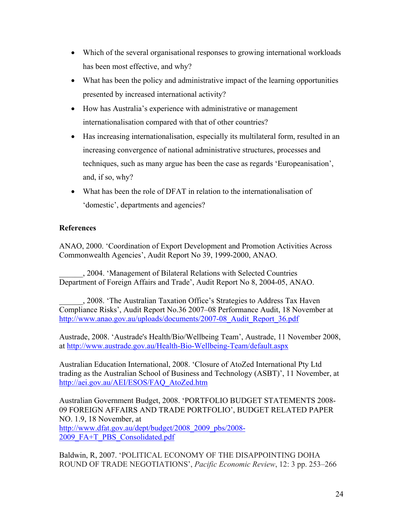- Which of the several organisational responses to growing international workloads has been most effective, and why?
- What has been the policy and administrative impact of the learning opportunities presented by increased international activity?
- How has Australia's experience with administrative or management internationalisation compared with that of other countries?
- Has increasing internationalisation, especially its multilateral form, resulted in an increasing convergence of national administrative structures, processes and techniques, such as many argue has been the case as regards 'Europeanisation', and, if so, why?
- What has been the role of DFAT in relation to the internationalisation of 'domestic', departments and agencies?

# **References**

ANAO, 2000. 'Coordination of Export Development and Promotion Activities Across Commonwealth Agencies', Audit Report No 39, 1999-2000, ANAO.

\_\_\_\_\_\_, 2004. 'Management of Bilateral Relations with Selected Countries Department of Foreign Affairs and Trade', Audit Report No 8, 2004-05, ANAO.

\_\_\_\_\_\_, 2008. 'The Australian Taxation Office's Strategies to Address Tax Haven Compliance Risks', Audit Report No.36 2007–08 Performance Audit, 18 November at http://www.anao.gov.au/uploads/documents/2007-08 Audit Report 36.pdf

Austrade, 2008. 'Austrade's Health/Bio/Wellbeing Team', Austrade, 11 November 2008, at http://www.austrade.gov.au/Health-Bio-Wellbeing-Team/default.aspx

Australian Education International, 2008. 'Closure of AtoZed International Pty Ltd trading as the Australian School of Business and Technology (ASBT)', 11 November, at http://aei.gov.au/AEI/ESOS/FAQ\_AtoZed.htm

Australian Government Budget, 2008. 'PORTFOLIO BUDGET STATEMENTS 2008- 09 FOREIGN AFFAIRS AND TRADE PORTFOLIO', BUDGET RELATED PAPER NO. 1.9, 18 November, at http://www.dfat.gov.au/dept/budget/2008\_2009\_pbs/2008- 2009\_FA+T\_PBS\_Consolidated.pdf

Baldwin, R, 2007. 'POLITICAL ECONOMY OF THE DISAPPOINTING DOHA ROUND OF TRADE NEGOTIATIONS', *Pacific Economic Review*, 12: 3 pp. 253–266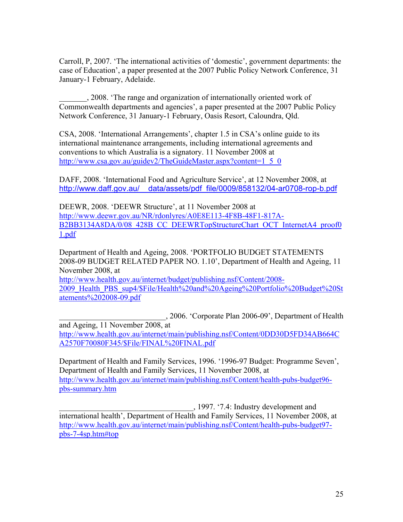Carroll, P, 2007. 'The international activities of 'domestic', government departments: the case of Education', a paper presented at the 2007 Public Policy Network Conference, 31 January-1 February, Adelaide.

\_\_\_\_\_\_\_, 2008. 'The range and organization of internationally oriented work of Commonwealth departments and agencies', a paper presented at the 2007 Public Policy Network Conference, 31 January-1 February, Oasis Resort, Caloundra, Qld.

CSA, 2008. 'International Arrangements', chapter 1.5 in CSA's online guide to its international maintenance arrangements, including international agreements and conventions to which Australia is a signatory. 11 November 2008 at http://www.csa.gov.au/guidev2/TheGuideMaster.aspx?content=1\_5\_0

DAFF, 2008. 'International Food and Agriculture Service', at 12 November 2008, at http://www.daff.gov.au/\_\_data/assets/pdf\_file/0009/858132/04-ar0708-rop-b.pdf

DEEWR, 2008. 'DEEWR Structure', at 11 November 2008 at http://www.deewr.gov.au/NR/rdonlyres/A0E8E113-4F8B-48F1-817A-B2BB3134A8DA/0/08\_428B\_CC\_DEEWRTopStructureChart\_OCT\_InternetA4\_proof0 1.pdf

Department of Health and Ageing, 2008. 'PORTFOLIO BUDGET STATEMENTS 2008-09 BUDGET RELATED PAPER NO. 1.10', Department of Health and Ageing, 11 November 2008, at

http://www.health.gov.au/internet/budget/publishing.nsf/Content/2008- 2009 Health PBS sup4/\$File/Health%20and%20Ageing%20Portfolio%20Budget%20St atements%202008-09.pdf

\_\_\_\_\_\_\_\_\_\_\_\_\_\_\_\_\_\_\_\_\_\_\_\_\_\_\_, 2006. 'Corporate Plan 2006-09', Department of Health

and Ageing, 11 November 2008, at http://www.health.gov.au/internet/main/publishing.nsf/Content/0DD30D5FD34AB664C A2570F70080F345/\$File/FINAL%20FINAL.pdf

Department of Health and Family Services, 1996. '1996-97 Budget: Programme Seven', Department of Health and Family Services, 11 November 2008, at http://www.health.gov.au/internet/main/publishing.nsf/Content/health-pubs-budget96 pbs-summary.htm

\_\_\_\_\_\_\_\_\_\_\_\_\_\_\_\_\_\_\_\_\_\_\_\_\_\_\_\_\_\_\_\_\_\_, 1997. '7.4: Industry development and international health', Department of Health and Family Services, 11 November 2008, at http://www.health.gov.au/internet/main/publishing.nsf/Content/health-pubs-budget97 pbs-7-4sp.htm#top